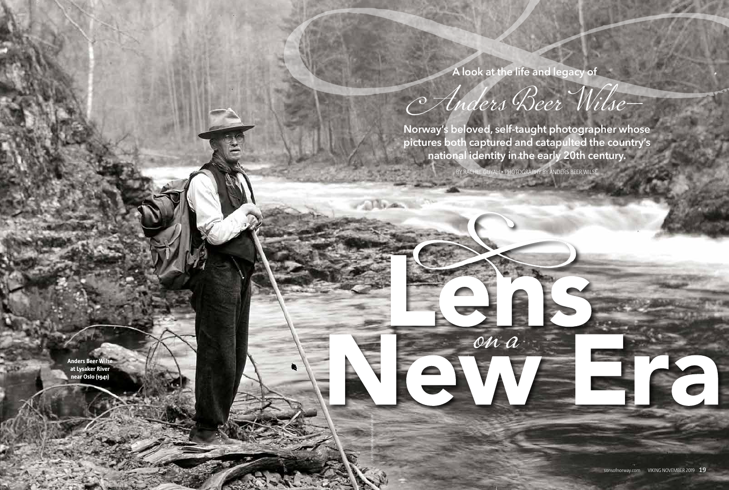**Norway's beloved, self-taught photographer whose pictures both captured and catapulted the country's national identity in the early 20th century.**

> BY RACHEL GUYAH • PHOTOGRAPHY BY ANDERS BEER WILSE The Read of the Contract of

> > ona

Anders Beer Wilse—

**A look at the life and legacy of**

Anders Beer Wilse at Lysaker River near Oslo (1941)

COURTESY NORWEGIAN FOLKMUSEUM

The man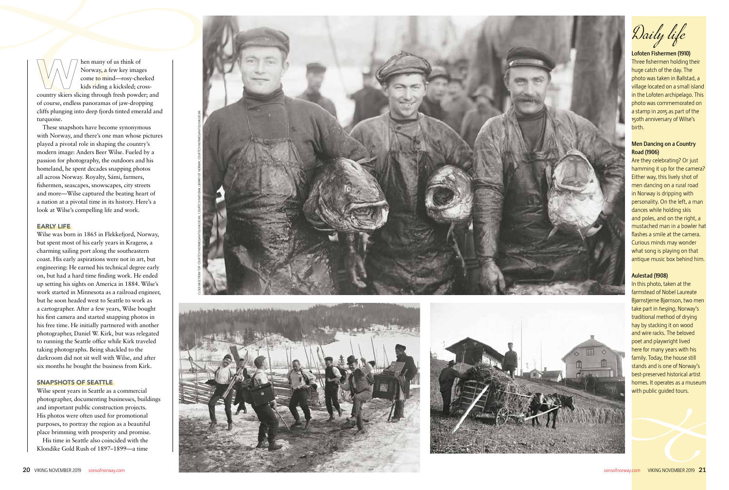Daily life

Lofoten Fishermen (1910) Three fishermen holding their huge catch of the day. The photo was taken in Ballstad, a village located on a small island in the Lofoten archipelago. This photo was commemorated on a stamp in 2015 as part of the 150th anniversary of Wilse's birth.

# Men Dancing on a Country Road (1906)

Are they celebrating? Or just hamming it up for the camera? Either way, this lively shot of men dancing on a rural road in Norway is dripping with personality. On the left, a man dances while holding skis and poles, and on the right, a mustached man in a bowler hat flashes a smile at the camera. Curious minds may wonder what song is playing on that antique music box behind him.

# Aulestad (1908)

In this photo, taken at the farmstead of Nobel Laureate Bjørnstjerne Bjørnson, two men take part in *hesjing*, Norway's traditional method of drying hay by stacking it on wood and wire racks. The beloved poet and playwright lived here for many years with his family. Today, the house still stands and is one of Norway's best-preserved historical artist homes. It operates as a museum with public guided tours.

hen many of us think of Norway, a few key images come to mind—rosy-cheeked kids riding a kicksled; crosscountry skiers slicing through fresh powder; and of course, endless panoramas of jaw-dropping cliffs plunging into deep fjords tinted emerald and turquoise.

These snapshots have become synonymous with Norway, and there's one man whose pictures played a pivotal role in shaping the country's modern image: Anders Beer Wilse. Fueled by a passion for photography, the outdoors and his homeland, he spent decades snapping photos all across Norway. Royalty, Sámi, farmers, fishermen, seascapes, snowscapes, city streets and more—Wilse captured the beating heart of a nation at a pivotal time in its history. Here's a look at Wilse's compelling life and work.

# EARLY LIFE

Wilse was born in 1865 in Flekkefjord, Norway, but spent most of his early years in Kragerø, a charming sailing port along the southeastern coast. His early aspirations were not in art, but engineering: He earned his technical degree early on, but had a hard time finding work. He ended up setting his sights on America in 1884. Wilse's work started in Minnesota as a railroad engineer, but he soon headed west to Seattle to work as a cartographer. After a few years, Wilse bought his first camera and started snapping photos in his free time. He initially partnered with another photographer, Daniel W. Kirk, but was relegated to running the Seattle office while Kirk traveled taking photographs. Being shackled to the darkroom did not sit well with Wilse, and after six months he bought the business from Kirk.

## SNAPSHOTS OF SEATTLE

Wilse spent years in Seattle as a commercial photographer, documenting businesses, buildings and important public construction projects. His photos were often used for promotional purposes, to portray the region as a beautiful place brimming with prosperity and promise.

His time in Seattle also coincided with the Klondike Gold Rush of 1897–1899—a time